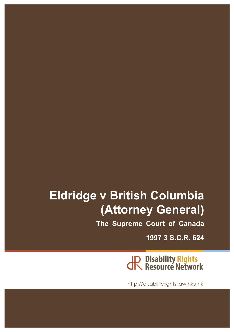# **Eldridge v British Columbia (Attorney General)**

**The Supreme Court of Canada**

**1997 3 S.C.R. 624**

**JP Disability Rights<br>CR Resource Network** 

http://disabilityrights.law.hku.hk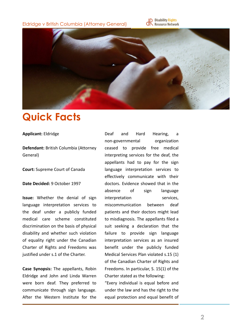Eldridge v British Columbia (Attorney General)





### **Quick Facts**

#### **Applicant:** Eldridge

**Defendant: British Columbia (Attorney)** General)

**Court:** Supreme Court of Canada

**Date Decided: 9 October 1997** 

**Issue:** Whether the denial of sign language interpretation services to the deaf under a publicly funded medical care scheme constituted discrimination on the basis of physical disability and whether such violation of equality right under the Canadian Charter of Rights and Freedoms was justified under s.1 of the Charter.

**Case Synopsis:** The appellants, Robin Eldridge and John and Linda Warren were born deaf. They preferred to communicate through sign language. After the Western Institute for the Deaf and Hard Hearing, a non-governmental organization ceased to provide free medical interpreting services for the deaf, the appellants had to pay for the sign language interpretation services to effectively communicate with their doctors. Evidence showed that in the absence of sign language interpretation services, miscommunication between deaf patients and their doctors might lead to misdiagnosis. The appellants filed a suit seeking a declaration that the failure to provide sign language interpretation services as an insured benefit under the publicly funded Medical Services Plan violated s.15 (1) of the Canadian Charter of Rights and Freedoms. In particular, S. 15(1) of the Charter stated as the following:

"Every individual is equal before and under the law and has the right to the equal protection and equal benefit of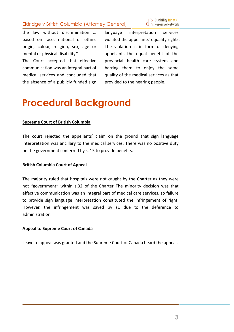### Eldridge v British Columbia (Attorney General)



the law without discrimination ... based on race, national or ethnic origin, colour, religion, sex, age or mental or physical disability."

The Court accepted that effective communication was an integral part of medical services and concluded that the absence of a publicly funded sign

language interpretation services violated the appellants' equality rights. The violation is in form of denying appellants the equal benefit of the provincial health care system and barring them to enjoy the same quality of the medical services as that provided to the hearing people.

### **Procedural Background**

#### **Supreme Court of British Columbia**

The court rejected the appellants' claim on the ground that sign language interpretation was ancillary to the medical services. There was no positive duty on the government conferred by s. 15 to provide benefits.

#### **British Columbia Court of Appeal**

The majority ruled that hospitals were not caught by the Charter as they were not "government" within s.32 of the Charter The minority decision was that effective communication was an integral part of medical care services, so failure to provide sign language interpretation constituted the infringement of right. However, the infringement was saved by s1 due to the deference to administration.

#### **Appeal to Supreme Court of Canada**

Leave to appeal was granted and the Supreme Court of Canada heard the appeal.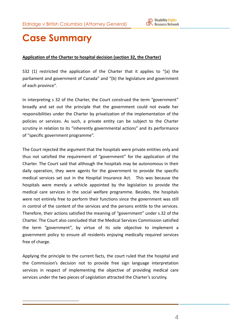

### **Case Summary**

### Application of the Charter to hospital decision (section 32, the Charter)

S32 (1) restricted the application of the Charter that it applies to "(a) the parliament and government of Canada" and "(b) the legislature and government of each province".

In interpreting s 32 of the Charter, the Court construed the term "government" broadly and set out the principle that the government could not evade her responsibilities under the Charter by privatization of the implementation of the policies or services. As such, a private entity can be subject to the Charter scrutiny in relation to its "inherently governmental actions" and its performance of "specific government programme".

The Court rejected the argument that the hospitals were private entities only and thus not satisfied the requirement of "government" for the application of the Charter. The Court said that although the hospitals may be autonomous in their daily operation, they were agents for the government to provide the specific medical services set out in the Hospital Insurance Act. This was because the hospitals were merely a vehicle appointed by the legislation to provide the medical care services in the social welfare programme. Besides, the hospitals were not entirely free to perform their functions since the government was still in control of the content of the services and the persons entitle to the services. Therefore, their actions satisfied the meaning of "government" under s.32 of the Charter. The Court also concluded that the Medical Services Commission satisfied the term "government", by virtue of its sole objective to implement a government policy to ensure all residents enjoying medically required services free of charge.

Applying the principle to the current facts, the court ruled that the hospital and the Commission's decision not to provide free sign language interpretation services in respect of implementing the objective of providing medical care services under the two pieces of Legislation attracted the Charter's scrutiny.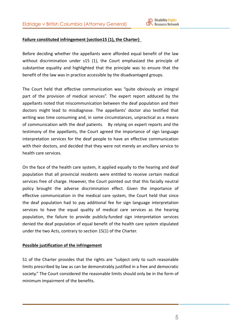

### **Failure constituted infringement (section15 (1), the Charter)**

Before deciding whether the appellants were afforded equal benefit of the law without discrimination under  $s15$  (1), the Court emphasized the principle of substantive equality and highlighted that the principle was to ensure that the benefit of the law was in practice accessible by the disadvantaged groups.

The Court held that effective communication was "quite obviously an integral part of the provision of medical services". The expert report adduced by the appellants noted that miscommunication between the deaf population and their doctors might lead to misdiagnose. The appellants' doctor also testified that writing was time consuming and, in some circumstances, unpractical as a means of communication with the deaf patients. By relying on expert reports and the testimony of the appellants, the Court agreed the importance of sign language interpretation services for the deaf people to have an effective communication with their doctors, and decided that they were not merely an ancillary service to health care services.

On the face of the health care system, it applied equally to the hearing and deaf population that all provincial residents were entitled to receive certain medical services free of charge. However, the Court pointed out that this facially neutral policy brought the adverse discrimination effect. Given the importance of effective communication in the medical care system, the Court held that since the deaf population had to pay additional fee for sign language interpretation services to have the equal quality of medical care services as the hearing population, the failure to provide publicly-funded sign interpretation services denied the deaf population of equal benefit of the health care system stipulated under the two Acts, contrary to section  $15(1)$  of the Charter.

#### **Possible justification of the infringement**

S1 of the Charter provides that the rights are "subject only to such reasonable limits prescribed by law as can be demonstrably justified in a free and democratic society." The Court considered the reasonable limits should only be in the form of minimum impairment of the benefits.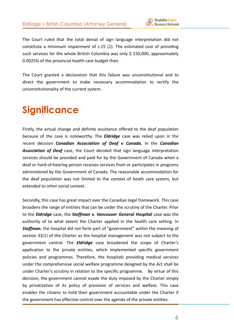

The Court ruled that the total denial of sign language interpretation did not constitute a minimum impairment of  $s.15$  (1). The estimated cost of providing such services for the whole British Columbia was only  $\frac{1}{2}$  150,000, approximately 0.0025% of the provincial health care budget then.

The Court granted a declaration that this failure was unconstitutional and to direct the government to make necessary accommodation to rectify the unconstitutionality of the current system.

## **Significance**

Firstly, the actual change and definite assistance offered to the deaf population because of the case is noteworthy. The *Eldridge* case was relied upon in the recent decision *Canadian Association of Deaf v Canada.* In the *Canadian* **Association of Deaf** case, the Court decided that sign language interpretation services should be provided and paid for by the Government of Canada when a deaf or hard-of-hearing person receives services from or participates in programs administered by the Government of Canada. The reasonable accommodation for the deaf population was not limited to the context of heath care system, but extended to other social context.

Secondly, this case has great impact over the Canadian legal framework. This case broadens the range of entities that can be under the scrutiny of the Charter. Prior to the *Eldridge* case, the *Stoffman v. Vancouver General Hospital* case was the authority of to what extent the Charter applied in the health care setting. In **Stoffman**, the hospital did not form part of "government" within the meaning of section 32(1) of the Charter as the hospital management was not subject to the government control. The **Eldridge** case broadened the scope of Charter's application to the private entities, which implemented specific government policies and programmes. Therefore, the hospitals providing medical services under the comprehensive social welfare programme designed by the Act shall be under Charter's scrutiny in relation to the specific programme. By virtue of this decision, the government cannot evade the duty imposed by the Charter simply by privatization of its policy of provision of services and welfare. This case enables the citizens to hold their government accountable under the Charter if the government has effective control over the agenda of the private entities.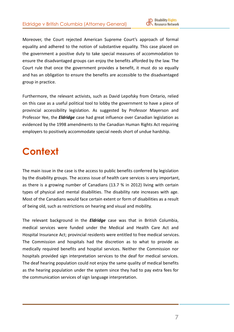

Moreover, the Court rejected American Supreme Court's approach of formal equality and adhered to the notion of substantive equality. This case placed on the government a positive duty to take special measures of accommodation to ensure the disadvantaged groups can enjoy the benefits afforded by the law. The Court rule that once the government provides a benefit, it must do so equally and has an obligation to ensure the benefits are accessible to the disadvantaged group in practice.

Furthermore, the relevant activists, such as David Lepofsky from Ontario, relied on this case as a useful political tool to lobby the government to have a piece of provincial accessibility legislation. As suggested by Professor Mayerson and Professor Yee, the *Eldridge* case had great influence over Canadian legislation as evidenced by the 1998 amendments to the Canadian Human Rights Act requiring employers to positively accommodate special needs short of undue hardship.

### **Context**

The main issue in the case is the access to public benefits conferred by legislation by the disability groups. The access issue of health care services is very important, as there is a growing number of Canadians (13.7 % in 2012) living with certain types of physical and mental disabilities. The disability rate increases with age. Most of the Canadians would face certain extent or form of disabilities as a result of being old, such as restrictions on hearing and visual and mobility.

The relevant background in the **Eldridge** case was that in British Columbia, medical services were funded under the Medical and Health Care Act and Hospital Insurance Act; provincial residents were entitled to free medical services. The Commission and hospitals had the discretion as to what to provide as medically required benefits and hospital services. Neither the Commission nor hospitals provided sign interpretation services to the deaf for medical services. The deaf hearing population could not enjoy the same quality of medical benefits as the hearing population under the system since they had to pay extra fees for the communication services of sign language interpretation.